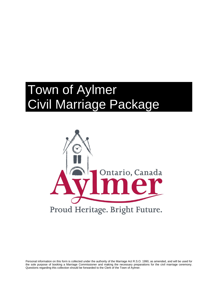# Town of Aylmer Civil Marriage Package



Personal information on this form is collected under the authority of the Marriage Act R.S.O. 1990, as amended, and will be used for the sole purpose of booking a Marriage Commissioner and making the necessary preparations for the civil marriage ceremony. Questions regarding this collection should be forwarded to the Clerk of the Town of Aylmer.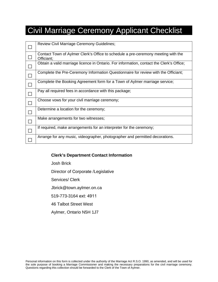### Civil Marriage Ceremony Applicant Checklist

| Review Civil Marriage Ceremony Guidelines;                                                      |
|-------------------------------------------------------------------------------------------------|
| Contact Town of Aylmer Clerk's Office to schedule a pre-ceremony meeting with the<br>Officiant; |
| Obtain a valid marriage licence in Ontario. For information, contact the Clerk's Office;        |
| Complete the Pre-Ceremony Information Questionnaire for review with the Officiant;              |
| Complete the Booking Agreement form for a Town of Aylmer marriage service;                      |
| Pay all required fees in accordance with this package;                                          |
| Choose vows for your civil marriage ceremony;                                                   |
| Determine a location for the ceremony;                                                          |
| Make arrangements for two witnesses;                                                            |
| If required, make arrangements for an interpreter for the ceremony;                             |
| Arrange for any music, videographer, photographer and permitted decorations.                    |
|                                                                                                 |

#### **Clerk's Department Contact Information**

Josh Brick

Director of Corporate /Legislative

Services/ Clerk

Jbrick@town.aylmer.on.ca

519-773-3164 ext: 4911

46 Talbot Street West

Aylmer, Ontario N5H 1J7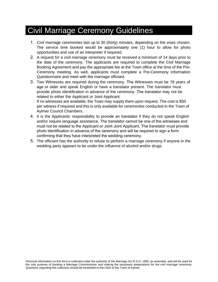### Civil Marriage Ceremony Guidelines

- 1. Civil marriage ceremonies last up to 30 (thirty) minutes, depending on the vows chosen. The service time booked would be approximately one (1) hour to allow for photo opportunities and use of an interpreter if required.
- 2. A request for a civil marriage ceremony must be received a minimum of 14 days prior to the date of the ceremony. The applicants are required to complete the Civil Marriage Booking Agreement and pay the appropriate fee at the Town office at the time of the Pre-Ceremony meeting. As well, applicants must complete a Pre-Ceremony Information Questionnaire and meet with the marriage officiant.
- 3. Two Witnesses are required during the ceremony. The Witnesses must be 18 years of age or older and speak English or have a translator present. The translator must provide photo identification in advance of the ceremony. The translator may not be related to either the Applicant or Joint Applicant. If no witnesses are available, the Town may supply them upon request. The cost is \$50 per witness if required and this is only available for ceremonies conducted in the Town of
- Aylmer Council Chambers. 4. It is the Applicants' responsibility to provide an translator if they do not speak English and/or require language assistance. The translator cannot be one of the witnesses and must not be related to the Applicant or Joint Joint Applicant. The translator must provide photo identification in advance of the ceremony and will be required to sign a form confirming that they have interpreted the wedding ceremony.
- 5. The officiant has the authority to refuse to perform a marriage ceremony if anyone in the wedding party appears to be under the influence of alcohol and/or drugs.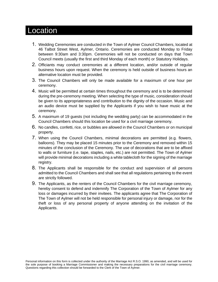### Location

- 1. Wedding Ceremonies are conducted in the Town of Aylmer Council Chambers, located at 46 Talbot Street West, Aylmer, Ontario. Ceremonies are conducted Monday to Friday between 9:30am and 3:30pm. Ceremonies will not be conducted on days that Town Council meets (usually the first and third Monday of each month) or Statutory Holidays.
- 2. Officiants may conduct ceremonies at a different location, and/or outside of regular business hours upon request. When the ceremony is held outside of business hours an alternative location must be provided.
- 3. The Council Chambers will only be made available for a maximum of one hour per ceremony.
- 4. Music will be permitted at certain times throughout the ceremony and is to be determined during the pre-ceremony meeting. When selecting the type of music, consideration should be given to its appropriateness and contribution to the dignity of the occasion. Music and an audio device must be supplied by the Applicants if you wish to have music at the ceremony.
- 5. A maximum of 19 guests (not including the wedding party) can be accommodated in the Council Chambers should this location be used for a civil marriage ceremony.
- 6. No candles, confetti, rice, or bubbles are allowed in the Council Chambers or on municipal property.
- 7. When using the Council Chambers, minimal decorations are permitted (e.g. flowers, balloons). They may be placed 15 minutes prior to the Ceremony and removed within 15 minutes of the conclusion of the Ceremony. The use of decorations that are to be affixed to walls or furniture (i.e. tape, staples, nails, etc.) are not permitted. The Town of Aylmer will provide minimal decorations including a white tablecloth for the signing of the marriage registry.
- 8. The Applicants shall be responsible for the conduct and supervision of all persons admitted to the Council Chambers and shall see that all regulations pertaining to the event are strictly followed.
- 9. The Applicants, as the renters of the Council Chambers for the civil marriage ceremony, hereby consent to defend and indemnify The Corporation of the Town of Aylmer for any loss or damages incurred by their invitees. The applicants agree that The Corporation of The Town of Aylmer will not be held responsible for personal injury or damage, nor for the theft or loss of any personal property of anyone attending on the invitation of the Applicants.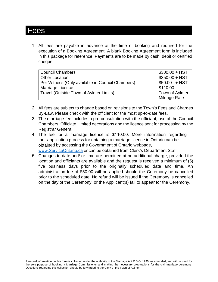### Fees

1. All fees are payable in advance at the time of booking and required for the execution of a Booking Agreement. A blank Booking Agreement form is included in this package for reference. Payments are to be made by cash, debit or certified cheque.

| <b>Council Chambers</b>                          | $$300.00 + HST$ |
|--------------------------------------------------|-----------------|
| <b>Other Location</b>                            | $$350.00 + HST$ |
| Per Witness (Only available in Council Chambers) | $$50.00$ + HST  |
| Marriage Licence                                 | \$110.00        |
| Travel (Outside Town of Aylmer Limits)           | Town of Aylmer  |
|                                                  | Mileage Rate    |

- 2. All fees are subject to change based on revisions to the Town's Fees and Charges By-Law. Please check with the officiant for the most up-to-date fees.
- 3. The marriage fee includes a pre-consultation with the officiant, use of the Council Chambers, Officiate, limited decorations and the licence sent for processing by the Registrar General.
- 4. The fee for a marriage licence is \$110.00. More information regarding the application process for obtaining a marriage licence in Ontario can be obtained by accessing the Government of Onta[rio webpage,](http://www.serviceontario.ca/) www.ServiceOntario.ca or can be obtained from Clerk's Department Staff.
- 5. Changes to date and/ or time are permitted at no additional charge, provided the location and officiants are available and the request is received a minimum of (5) five business days prior to the originally scheduled date and time. An administration fee of \$50.00 will be applied should the Ceremony be cancelled prior to the scheduled date. No refund will be issued if the Ceremony is cancelled on the day of the Ceremony, or the Applicant(s) fail to appear for the Ceremony.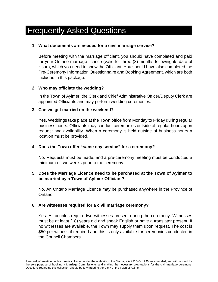### Frequently Asked Questions

#### **1. What documents are needed for a civil marriage service?**

Before meeting with the marriage officiant, you should have completed and paid for your Ontario marriage licence (valid for three (3) months following its date of issue), which you need to show the Officiant. You should have also completed the Pre-Ceremony Information Questionnaire and Booking Agreement, which are both included in this package.

#### **2. Who may officiate the wedding?**

In the Town of Aylmer, the Clerk and Chief Administrative Officer/Deputy Clerk are appointed Officiants and may perform wedding ceremonies.

#### **3. Can we get married on the weekend?**

Yes. Weddings take place at the Town office from Monday to Friday during regular business hours. Officiants may conduct ceremonies outside of regular hours upon request and availability. When a ceremony is held outside of business hours a location must be provided.

#### **4. Does the Town offer "same day service" for a ceremony?**

No. Requests must be made, and a pre-ceremony meeting must be conducted a minimum of two weeks prior to the ceremony.

#### **5. Does the Marriage Licence need to be purchased at the Town of Aylmer to be married by a Town of Aylmer Officiant?**

No. An Ontario Marriage Licence may be purchased anywhere in the Province of Ontario.

#### **6. Are witnesses required for a civil marriage ceremony?**

Yes. All couples require two witnesses present during the ceremony. Witnesses must be at least (18) years old and speak English or have a translator present. If no witnesses are available, the Town may supply them upon request. The cost is \$50 per witness if required and this is only available for ceremonies conducted in the Council Chambers.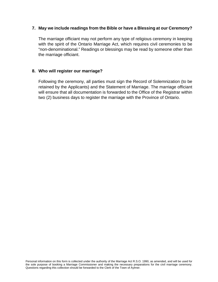#### **7. May we include readings from the Bible or have a Blessing at our Ceremony?**

The marriage officiant may not perform any type of religious ceremony in keeping with the spirit of the Ontario Marriage Act, which requires civil ceremonies to be "non-denominational." Readings or blessings may be read by someone other than the marriage officiant.

#### **8. Who will register our marriage?**

Following the ceremony, all parties must sign the Record of Solemnization (to be retained by the Applicants) and the Statement of Marriage. The marriage officiant will ensure that all documentation is forwarded to the Office of the Registrar within two (2) business days to register the marriage with the Province of Ontario.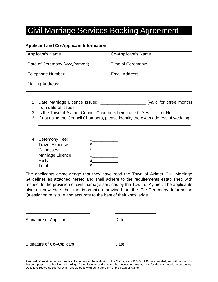### Civil Marriage Services Booking Agreement

#### **Applicant and Co-Applicant Information**

| Applicant's Name              | Co-Applicant's Name |
|-------------------------------|---------------------|
| Date of Ceremony (yyyy/mm/dd) | Time of Ceremony:   |
| Telephone Number:             | Email Address:      |
| Mailing Address:              |                     |

- 1. Date Marriage Licence Issued: \_\_\_\_\_\_\_\_\_\_\_\_\_\_\_\_\_\_\_ (valid for three months from date of issue)
- 2. Is the Town of Aylmer Council Chambers being used? Yes \_\_\_\_ or No \_\_\_\_
- 3. If not using the Council Chambers, please identify the exact address of wedding:

\_\_\_\_\_\_\_\_\_\_\_\_\_\_\_\_\_\_\_\_\_\_\_\_\_\_\_\_\_\_\_\_\_\_\_\_\_\_\_\_\_\_\_\_\_\_\_\_\_\_\_\_\_\_\_\_\_\_\_\_\_\_\_\_ \_\_\_\_\_\_\_\_\_\_\_\_\_\_\_\_\_\_\_\_\_\_\_\_\_\_\_\_\_\_\_\_\_\_\_\_\_\_\_\_\_\_\_\_\_\_\_\_\_\_\_\_\_\_\_\_\_\_\_\_\_\_\_\_

| 4. Ceremony Fee:  |  |
|-------------------|--|
| Travel Expense:   |  |
| Witnesses:        |  |
| Marriage Licence: |  |
| HST:              |  |
| Total:            |  |

The applicants acknowledge that they have read the Town of Aylmer Civil Marriage Guidelines as attached hereto and shall adhere to the requirements established with respect to the provision of civil marriage services by the Town of Aylmer. The applicants also acknowledge that the information provided on the Pre-Ceremony Information Questionnaire is true and accurate to the best of their knowledge.

| Signature of Applicant    | Date |
|---------------------------|------|
|                           |      |
| Signature of Co-Applicant | Date |

Personal information on this form is collected under the authority of the Marriage Act R.S.O. 1990, as amended, and will be used for the sole purpose of booking a Marriage Commissioner and making the necessary preparations for the civil marriage ceremony. Questions regarding this collection should be forwarded to the Clerk of the Town of Aylmer.